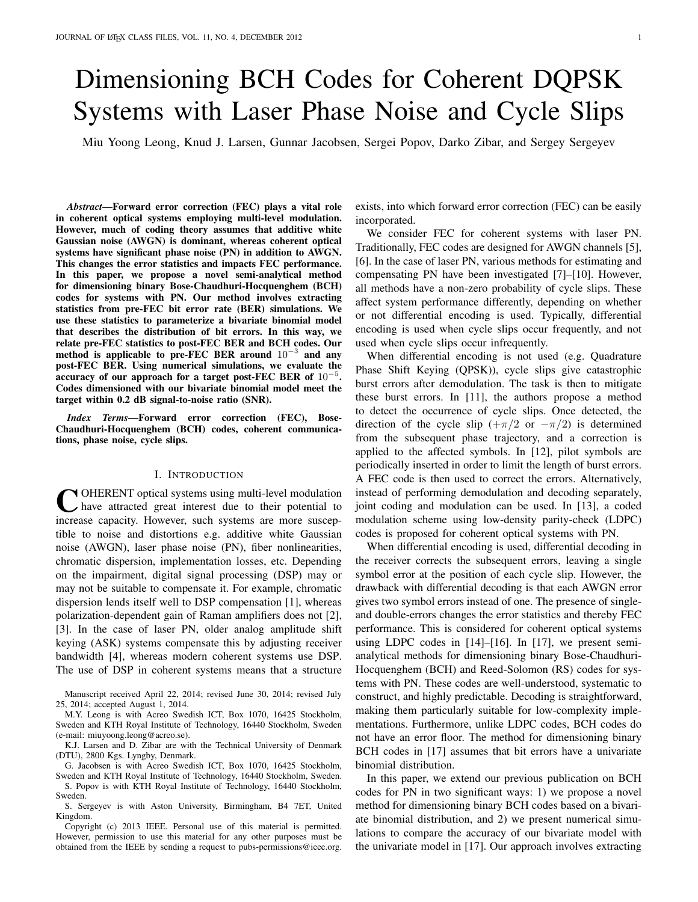# Dimensioning BCH Codes for Coherent DQPSK Systems with Laser Phase Noise and Cycle Slips

Miu Yoong Leong, Knud J. Larsen, Gunnar Jacobsen, Sergei Popov, Darko Zibar, and Sergey Sergeyev

*Abstract*—Forward error correction (FEC) plays a vital role in coherent optical systems employing multi-level modulation. However, much of coding theory assumes that additive white Gaussian noise (AWGN) is dominant, whereas coherent optical systems have significant phase noise (PN) in addition to AWGN. This changes the error statistics and impacts FEC performance. In this paper, we propose a novel semi-analytical method for dimensioning binary Bose-Chaudhuri-Hocquenghem (BCH) codes for systems with PN. Our method involves extracting statistics from pre-FEC bit error rate (BER) simulations. We use these statistics to parameterize a bivariate binomial model that describes the distribution of bit errors. In this way, we relate pre-FEC statistics to post-FEC BER and BCH codes. Our method is applicable to pre-FEC BER around 10<sup>-3</sup> and any post-FEC BER. Using numerical simulations, we evaluate the accuracy of our approach for a target post-FEC BER of  $10^{-5}$ . Codes dimensioned with our bivariate binomial model meet the target within 0.2 dB signal-to-noise ratio (SNR).

*Index Terms*—Forward error correction (FEC), Bose-Chaudhuri-Hocquenghem (BCH) codes, coherent communications, phase noise, cycle slips.

# I. INTRODUCTION

C OHERENT optical systems using multi-level modulation<br>thave attracted great interest due to their potential to OHERENT optical systems using multi-level modulation increase capacity. However, such systems are more susceptible to noise and distortions e.g. additive white Gaussian noise (AWGN), laser phase noise (PN), fiber nonlinearities, chromatic dispersion, implementation losses, etc. Depending on the impairment, digital signal processing (DSP) may or may not be suitable to compensate it. For example, chromatic dispersion lends itself well to DSP compensation [1], whereas polarization-dependent gain of Raman amplifiers does not [2], [3]. In the case of laser PN, older analog amplitude shift keying (ASK) systems compensate this by adjusting receiver bandwidth [4], whereas modern coherent systems use DSP. The use of DSP in coherent systems means that a structure

M.Y. Leong is with Acreo Swedish ICT, Box 1070, 16425 Stockholm, Sweden and KTH Royal Institute of Technology, 16440 Stockholm, Sweden (e-mail: miuyoong.leong@acreo.se).

K.J. Larsen and D. Zibar are with the Technical University of Denmark (DTU), 2800 Kgs. Lyngby, Denmark.

G. Jacobsen is with Acreo Swedish ICT, Box 1070, 16425 Stockholm, Sweden and KTH Royal Institute of Technology, 16440 Stockholm, Sweden.

S. Popov is with KTH Royal Institute of Technology, 16440 Stockholm, Sweden.

S. Sergeyev is with Aston University, Birmingham, B4 7ET, United Kingdom.

Copyright (c) 2013 IEEE. Personal use of this material is permitted. However, permission to use this material for any other purposes must be obtained from the IEEE by sending a request to pubs-permissions@ieee.org. exists, into which forward error correction (FEC) can be easily incorporated.

We consider FEC for coherent systems with laser PN. Traditionally, FEC codes are designed for AWGN channels [5], [6]. In the case of laser PN, various methods for estimating and compensating PN have been investigated [7]–[10]. However, all methods have a non-zero probability of cycle slips. These affect system performance differently, depending on whether or not differential encoding is used. Typically, differential encoding is used when cycle slips occur frequently, and not used when cycle slips occur infrequently.

When differential encoding is not used (e.g. Quadrature Phase Shift Keying (QPSK)), cycle slips give catastrophic burst errors after demodulation. The task is then to mitigate these burst errors. In [11], the authors propose a method to detect the occurrence of cycle slips. Once detected, the direction of the cycle slip  $(+\pi/2 \text{ or } -\pi/2)$  is determined from the subsequent phase trajectory, and a correction is applied to the affected symbols. In [12], pilot symbols are periodically inserted in order to limit the length of burst errors. A FEC code is then used to correct the errors. Alternatively, instead of performing demodulation and decoding separately, joint coding and modulation can be used. In [13], a coded modulation scheme using low-density parity-check (LDPC) codes is proposed for coherent optical systems with PN.

When differential encoding is used, differential decoding in the receiver corrects the subsequent errors, leaving a single symbol error at the position of each cycle slip. However, the drawback with differential decoding is that each AWGN error gives two symbol errors instead of one. The presence of singleand double-errors changes the error statistics and thereby FEC performance. This is considered for coherent optical systems using LDPC codes in [14]–[16]. In [17], we present semianalytical methods for dimensioning binary Bose-Chaudhuri-Hocquenghem (BCH) and Reed-Solomon (RS) codes for systems with PN. These codes are well-understood, systematic to construct, and highly predictable. Decoding is straightforward, making them particularly suitable for low-complexity implementations. Furthermore, unlike LDPC codes, BCH codes do not have an error floor. The method for dimensioning binary BCH codes in [17] assumes that bit errors have a univariate binomial distribution.

In this paper, we extend our previous publication on BCH codes for PN in two significant ways: 1) we propose a novel method for dimensioning binary BCH codes based on a bivariate binomial distribution, and 2) we present numerical simulations to compare the accuracy of our bivariate model with the univariate model in [17]. Our approach involves extracting

Manuscript received April 22, 2014; revised June 30, 2014; revised July 25, 2014; accepted August 1, 2014.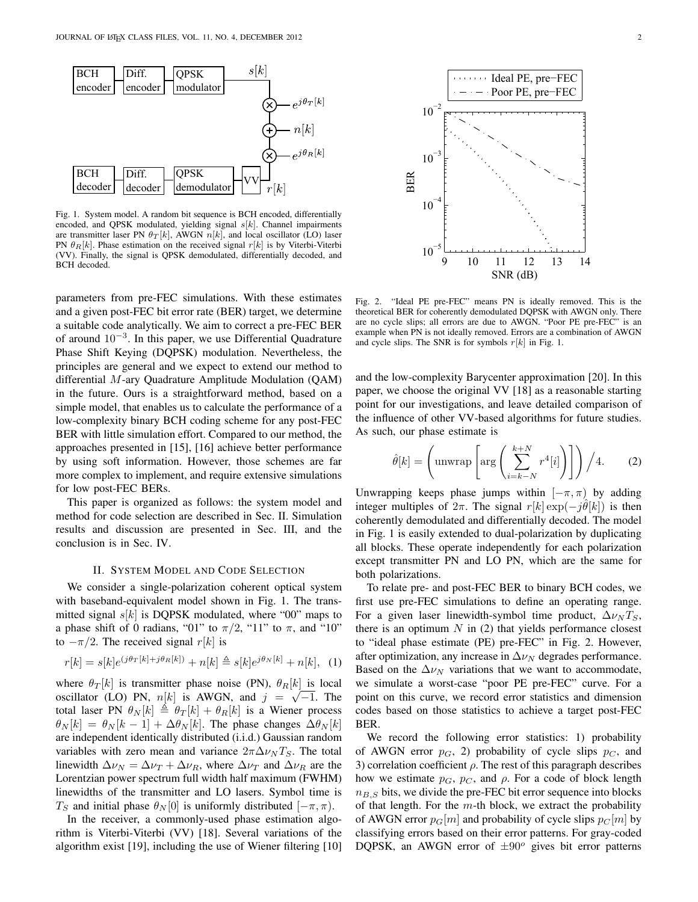

Fig. 1. System model. A random bit sequence is BCH encoded, differentially encoded, and QPSK modulated, yielding signal  $s[k]$ . Channel impairments are transmitter laser PN  $\theta_T[k]$ , AWGN  $n[k]$ , and local oscillator (LO) laser PN  $\theta_R[k]$ . Phase estimation on the received signal  $r[k]$  is by Viterbi-Viterbi (VV). Finally, the signal is QPSK demodulated, differentially decoded, and BCH decoded.

parameters from pre-FEC simulations. With these estimates and a given post-FEC bit error rate (BER) target, we determine a suitable code analytically. We aim to correct a pre-FEC BER of around 10<sup>−</sup><sup>3</sup> . In this paper, we use Differential Quadrature Phase Shift Keying (DQPSK) modulation. Nevertheless, the principles are general and we expect to extend our method to differential M-ary Quadrature Amplitude Modulation (QAM) in the future. Ours is a straightforward method, based on a simple model, that enables us to calculate the performance of a low-complexity binary BCH coding scheme for any post-FEC BER with little simulation effort. Compared to our method, the approaches presented in [15], [16] achieve better performance by using soft information. However, those schemes are far more complex to implement, and require extensive simulations for low post-FEC BERs.

This paper is organized as follows: the system model and method for code selection are described in Sec. II. Simulation results and discussion are presented in Sec. III, and the conclusion is in Sec. IV.

## II. SYSTEM MODEL AND CODE SELECTION

We consider a single-polarization coherent optical system with baseband-equivalent model shown in Fig. 1. The transmitted signal  $s[k]$  is DQPSK modulated, where "00" maps to a phase shift of 0 radians, "01" to  $\pi/2$ , "11" to  $\pi$ , and "10" to  $-\pi/2$ . The received signal r[k] is

$$
r[k] = s[k]e^{(j\theta_T[k] + j\theta_R[k])} + n[k] \triangleq s[k]e^{j\theta_N[k]} + n[k], (1)
$$

where  $\theta_T[k]$  is transmitter phase noise (PN),  $\theta_R[k]$  is local oscillator (LO) PN,  $n[k]$  is AWGN, and  $j = \sqrt{-1}$ . The total laser PN  $\theta_N[k] \triangleq \theta_T[k] + \theta_R[k]$  is a Wiener process  $\theta_N[k] = \theta_N[k-1] + \Delta \theta_N[k]$ . The phase changes  $\Delta \theta_N[k]$ are independent identically distributed (i.i.d.) Gaussian random variables with zero mean and variance  $2\pi\Delta\nu_N T_S$ . The total linewidth  $\Delta \nu_N = \Delta \nu_T + \Delta \nu_R$ , where  $\Delta \nu_T$  and  $\Delta \nu_R$  are the Lorentzian power spectrum full width half maximum (FWHM) linewidths of the transmitter and LO lasers. Symbol time is  $T_S$  and initial phase  $\theta_N[0]$  is uniformly distributed  $[-\pi, \pi)$ .

In the receiver, a commonly-used phase estimation algorithm is Viterbi-Viterbi (VV) [18]. Several variations of the algorithm exist [19], including the use of Wiener filtering [10]



Fig. 2. "Ideal PE pre-FEC" means PN is ideally removed. This is the theoretical BER for coherently demodulated DQPSK with AWGN only. There are no cycle slips; all errors are due to AWGN. "Poor PE pre-FEC" is an example when PN is not ideally removed. Errors are a combination of AWGN and cycle slips. The SNR is for symbols  $r[k]$  in Fig. 1.

and the low-complexity Barycenter approximation [20]. In this paper, we choose the original VV [18] as a reasonable starting point for our investigations, and leave detailed comparison of the influence of other VV-based algorithms for future studies. As such, our phase estimate is

$$
\hat{\theta}[k] = \left(\text{unwrap}\left[\arg\left(\sum_{i=k-N}^{k+N} r^4[i]\right)\right]\right) / 4. \tag{2}
$$

Unwrapping keeps phase jumps within  $[-\pi, \pi)$  by adding integer multiples of  $2\pi$ . The signal  $r[k] \exp(-j\hat{\theta}[k])$  is then coherently demodulated and differentially decoded. The model in Fig. 1 is easily extended to dual-polarization by duplicating all blocks. These operate independently for each polarization except transmitter PN and LO PN, which are the same for both polarizations.

To relate pre- and post-FEC BER to binary BCH codes, we first use pre-FEC simulations to define an operating range. For a given laser linewidth-symbol time product,  $\Delta \nu_N T_S$ , there is an optimum  $N$  in (2) that yields performance closest to "ideal phase estimate (PE) pre-FEC" in Fig. 2. However, after optimization, any increase in  $\Delta \nu_N$  degrades performance. Based on the  $\Delta \nu_N$  variations that we want to accommodate, we simulate a worst-case "poor PE pre-FEC" curve. For a point on this curve, we record error statistics and dimension codes based on those statistics to achieve a target post-FEC BER.

We record the following error statistics: 1) probability of AWGN error  $p_G$ , 2) probability of cycle slips  $p_C$ , and 3) correlation coefficient  $\rho$ . The rest of this paragraph describes how we estimate  $p_G$ ,  $p_C$ , and  $\rho$ . For a code of block length  $n_{B,S}$  bits, we divide the pre-FEC bit error sequence into blocks of that length. For the  $m$ -th block, we extract the probability of AWGN error  $p_G[m]$  and probability of cycle slips  $p_C[m]$  by classifying errors based on their error patterns. For gray-coded DQPSK, an AWGN error of  $\pm 90^\circ$  gives bit error patterns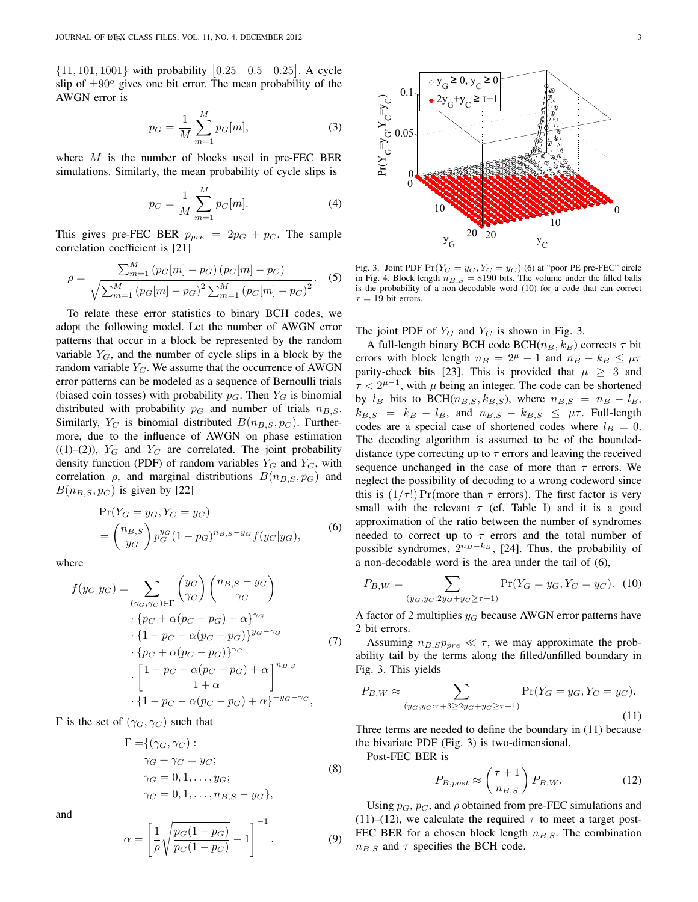$\{11, 101, 1001\}$  with probability  $[0.25 \quad 0.5 \quad 0.25]$ . A cycle slip of  $\pm 90^\circ$  gives one bit error. The mean probability of the AWGN error is

$$
p_G = \frac{1}{M} \sum_{m=1}^{M} p_G[m],
$$
 (3)

where  $M$  is the number of blocks used in pre-FEC BER simulations. Similarly, the mean probability of cycle slips is

$$
p_C = \frac{1}{M} \sum_{m=1}^{M} p_C[m].
$$
 (4)

This gives pre-FEC BER  $p_{pre} = 2p_G + p_C$ . The sample correlation coefficient is [21]

$$
\rho = \frac{\sum_{m=1}^{M} (p_G[m] - p_G) (p_C[m] - p_C)}{\sqrt{\sum_{m=1}^{M} (p_G[m] - p_G)^2 \sum_{m=1}^{M} (p_C[m] - p_C)^2}}.
$$
 (5)

To relate these error statistics to binary BCH codes, we adopt the following model. Let the number of AWGN error patterns that occur in a block be represented by the random variable  $Y_G$ , and the number of cycle slips in a block by the random variable  $Y_C$ . We assume that the occurrence of AWGN error patterns can be modeled as a sequence of Bernoulli trials (biased coin tosses) with probability  $p_G$ . Then  $Y_G$  is binomial distributed with probability  $p_G$  and number of trials  $n_{B,S}$ . Similarly,  $Y_C$  is binomial distributed  $B(n_{B,S}, p_C)$ . Furthermore, due to the influence of AWGN on phase estimation  $((1)–(2))$ ,  $Y_G$  and  $Y_C$  are correlated. The joint probability density function (PDF) of random variables  $Y_G$  and  $Y_C$ , with correlation  $\rho$ , and marginal distributions  $B(n_{B,S}, p_G)$  and  $B(n_{B,S}, p_{C})$  is given by [22]

$$
\Pr(Y_G = y_G, Y_C = y_C)
$$
  
=  $\binom{n_{B,S}}{y_G} p_G^{y_G} (1 - p_G)^{n_{B,S} - y_G} f(y_C | y_G),$  (6)

where

$$
f(y_C|y_G) = \sum_{(\gamma_G, \gamma_C) \in \Gamma} \begin{pmatrix} y_G \\ \gamma_G \end{pmatrix} \begin{pmatrix} n_{B,S} - y_G \\ \gamma_C \end{pmatrix}
$$

$$
\cdot \{p_C + \alpha(p_C - p_G) + \alpha\}^{\gamma_G}
$$

$$
\cdot \{1 - p_C - \alpha(p_C - p_G)\}^{y_G - \gamma_G}
$$

$$
\cdot \{p_C + \alpha(p_C - p_G)\}^{\gamma_C}
$$

$$
\cdot \left[\frac{1 - p_C - \alpha(p_C - p_G) + \alpha}{1 + \alpha}\right]^{n_{B,S}}
$$

$$
\cdot \{1 - p_C - \alpha(p_C - p_G) + \alpha\}^{-y_G - \gamma_C},
$$

Γ is the set of  $(\gamma_G, \gamma_C)$  such that

$$
\Gamma = \{ (\gamma_G, \gamma_C) : \n\gamma_G + \gamma_C = y_C; \n\gamma_G = 0, 1, \dots, y_G; \n\gamma_C = 0, 1, \dots, n_{B,S} - y_G \},
$$
\n(8)

and

$$
\alpha = \left[\frac{1}{\rho} \sqrt{\frac{p_G(1 - p_G)}{p_C(1 - p_C)}} - 1\right]^{-1}.
$$
 (9)



Fig. 3. Joint PDF  $Pr(Y_G = y_G, Y_C = y_C)$  (6) at "poor PE pre-FEC" circle in Fig. 4. Block length  $n_{B,S} = 8190$  bits. The volume under the filled balls is the probability of a non-decodable word (10) for a code that can correct  $\tau = 19$  bit errors.

The joint PDF of  $Y_G$  and  $Y_C$  is shown in Fig. 3.

A full-length binary BCH code BCH( $n_B, k_B$ ) corrects  $\tau$  bit errors with block length  $n_B = 2^{\mu} - 1$  and  $n_B - k_B \leq \mu \tau$ parity-check bits [23]. This is provided that  $\mu \geq 3$  and  $\tau < 2^{\mu - 1}$ , with  $\mu$  being an integer. The code can be shortened by  $l_B$  bits to BCH( $n_{B,S}, k_{B,S}$ ), where  $n_{B,S} = n_B - l_B$ ,  $k_{B,S}$  =  $k_B - l_B$ , and  $n_{B,S} - k_{B,S} \leq \mu \tau$ . Full-length codes are a special case of shortened codes where  $l_B = 0$ . The decoding algorithm is assumed to be of the boundeddistance type correcting up to  $\tau$  errors and leaving the received sequence unchanged in the case of more than  $\tau$  errors. We neglect the possibility of decoding to a wrong codeword since this is  $(1/\tau!)$  Pr(more than  $\tau$  errors). The first factor is very small with the relevant  $\tau$  (cf. Table I) and it is a good approximation of the ratio between the number of syndromes needed to correct up to  $\tau$  errors and the total number of possible syndromes,  $2^{n_B-k_B}$ , [24]. Thus, the probability of a non-decodable word is the area under the tail of (6),

$$
P_{B,W} = \sum_{(y_G, y_C: 2y_G + y_C \ge \tau + 1)} \Pr(Y_G = y_G, Y_C = y_C). \tag{10}
$$

A factor of 2 multiplies  $y_G$  because AWGN error patterns have 2 bit errors.

Assuming  $n_{B,SPpre} \ll \tau$ , we may approximate the probability tail by the terms along the filled/unfilled boundary in Fig. 3. This yields

$$
P_{B,W} \approx \sum_{(y_G, y_C: \tau + 3 \ge 2y_G + y_C \ge \tau + 1)} \Pr(Y_G = y_G, Y_C = y_C). \tag{11}
$$

Three terms are needed to define the boundary in (11) because the bivariate PDF (Fig. 3) is two-dimensional.

Post-FEC BER is

$$
P_{B,post} \approx \left(\frac{\tau + 1}{n_{B,S}}\right) P_{B,W}.\tag{12}
$$

Using  $p_G$ ,  $p_C$ , and  $\rho$  obtained from pre-FEC simulations and (11)–(12), we calculate the required  $\tau$  to meet a target post-FEC BER for a chosen block length  $n_{B,S}$ . The combination  $n_{B,S}$  and  $\tau$  specifies the BCH code.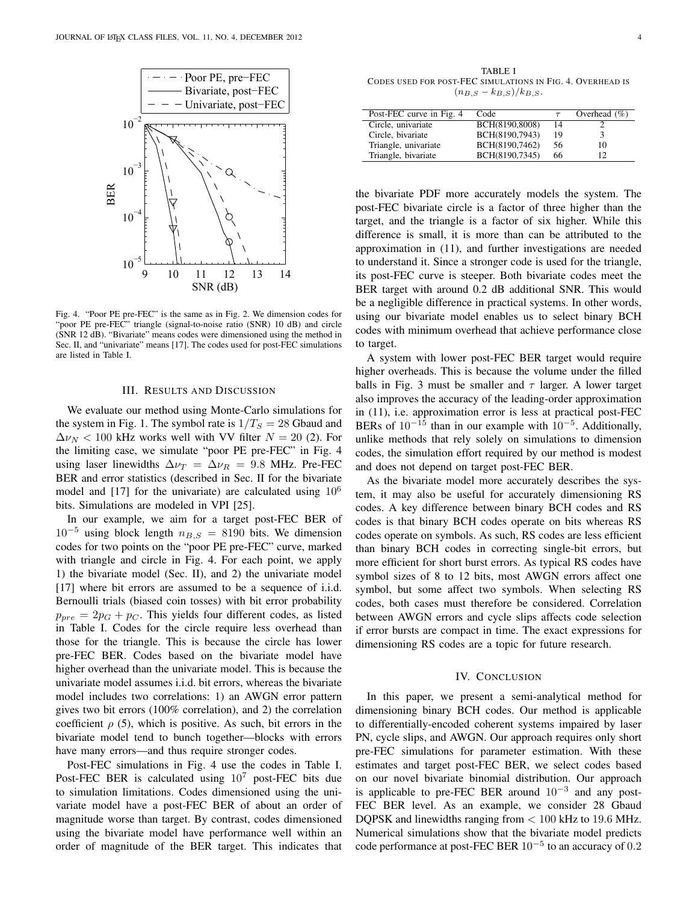

Fig. 4. "Poor PE pre-FEC" is the same as in Fig. 2. We dimension codes for "poor PE pre-FEC" triangle (signal-to-noise ratio (SNR) 10 dB) and circle (SNR 12 dB). "Bivariate" means codes were dimensioned using the method in Sec. II, and "univariate" means [17]. The codes used for post-FEC simulations are listed in Table I.

#### III. RESULTS AND DISCUSSION

We evaluate our method using Monte-Carlo simulations for the system in Fig. 1. The symbol rate is  $1/T<sub>S</sub> = 28$  Gbaud and  $\Delta \nu_N$  < 100 kHz works well with VV filter  $N = 20$  (2). For the limiting case, we simulate "poor PE pre-FEC" in Fig. 4 using laser linewidths  $\Delta \nu_T = \Delta \nu_R = 9.8$  MHz. Pre-FEC BER and error statistics (described in Sec. II for the bivariate model and [17] for the univariate) are calculated using  $10^6$ bits. Simulations are modeled in VPI [25].

In our example, we aim for a target post-FEC BER of  $10^{-5}$  using block length  $n_{B,S} = 8190$  bits. We dimension codes for two points on the "poor PE pre-FEC" curve, marked with triangle and circle in Fig. 4. For each point, we apply 1) the bivariate model (Sec. II), and 2) the univariate model [17] where bit errors are assumed to be a sequence of i.i.d. Bernoulli trials (biased coin tosses) with bit error probability  $p_{pre} = 2p_G + p_C$ . This yields four different codes, as listed in Table I. Codes for the circle require less overhead than those for the triangle. This is because the circle has lower pre-FEC BER. Codes based on the bivariate model have higher overhead than the univariate model. This is because the univariate model assumes i.i.d. bit errors, whereas the bivariate model includes two correlations: 1) an AWGN error pattern gives two bit errors (100% correlation), and 2) the correlation coefficient  $\rho$  (5), which is positive. As such, bit errors in the bivariate model tend to bunch together—blocks with errors have many errors—and thus require stronger codes.

Post-FEC simulations in Fig. 4 use the codes in Table I. Post-FEC BER is calculated using  $10<sup>7</sup>$  post-FEC bits due to simulation limitations. Codes dimensioned using the univariate model have a post-FEC BER of about an order of magnitude worse than target. By contrast, codes dimensioned using the bivariate model have performance well within an order of magnitude of the BER target. This indicates that

TABLE I CODES USED FOR POST-FEC SIMULATIONS IN FIG. 4. OVERHEAD IS  $(n_{B,S} - k_{B,S})/k_{B,S}.$ 

| Post-FEC curve in Fig. 4 | Code           |    | Overhead $(\% )$ |
|--------------------------|----------------|----|------------------|
| Circle, univariate       | BCH(8190,8008) | 14 |                  |
| Circle, bivariate        | BCH(8190,7943) | 19 |                  |
| Triangle, univariate     | BCH(8190,7462) | 56 | 10               |
| Triangle, bivariate      | BCH(8190,7345) | 66 |                  |
|                          |                |    |                  |

the bivariate PDF more accurately models the system. The post-FEC bivariate circle is a factor of three higher than the target, and the triangle is a factor of six higher. While this difference is small, it is more than can be attributed to the approximation in (11), and further investigations are needed to understand it. Since a stronger code is used for the triangle, its post-FEC curve is steeper. Both bivariate codes meet the BER target with around 0.2 dB additional SNR. This would be a negligible difference in practical systems. In other words, using our bivariate model enables us to select binary BCH codes with minimum overhead that achieve performance close to target.

A system with lower post-FEC BER target would require higher overheads. This is because the volume under the filled balls in Fig. 3 must be smaller and  $\tau$  larger. A lower target also improves the accuracy of the leading-order approximation in (11), i.e. approximation error is less at practical post-FEC BERs of  $10^{-15}$  than in our example with  $10^{-5}$ . Additionally, unlike methods that rely solely on simulations to dimension codes, the simulation effort required by our method is modest and does not depend on target post-FEC BER.

As the bivariate model more accurately describes the system, it may also be useful for accurately dimensioning RS codes. A key difference between binary BCH codes and RS codes is that binary BCH codes operate on bits whereas RS codes operate on symbols. As such, RS codes are less efficient than binary BCH codes in correcting single-bit errors, but more efficient for short burst errors. As typical RS codes have symbol sizes of 8 to 12 bits, most AWGN errors affect one symbol, but some affect two symbols. When selecting RS codes, both cases must therefore be considered. Correlation between AWGN errors and cycle slips affects code selection if error bursts are compact in time. The exact expressions for dimensioning RS codes are a topic for future research.

# IV. CONCLUSION

In this paper, we present a semi-analytical method for dimensioning binary BCH codes. Our method is applicable to differentially-encoded coherent systems impaired by laser PN, cycle slips, and AWGN. Our approach requires only short pre-FEC simulations for parameter estimation. With these estimates and target post-FEC BER, we select codes based on our novel bivariate binomial distribution. Our approach is applicable to pre-FEC BER around  $10^{-3}$  and any post-FEC BER level. As an example, we consider 28 Gbaud DQPSK and linewidths ranging from < 100 kHz to 19.6 MHz. Numerical simulations show that the bivariate model predicts code performance at post-FEC BER  $10^{-5}$  to an accuracy of 0.2